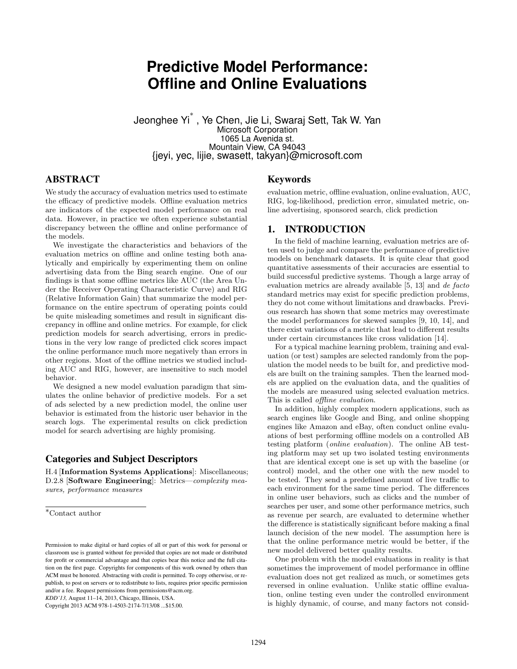# **Predictive Model Performance: Offline and Online Evaluations**

Jeonghee Yi ∗ , Ye Chen, Jie Li, Swaraj Sett, Tak W. Yan Microsoft Corporation 1065 La Avenida st. Mountain View, CA 94043 {jeyi, yec, lijie, swasett, takyan}@microsoft.com

# ABSTRACT

We study the accuracy of evaluation metrics used to estimate the efficacy of predictive models. Offline evaluation metrics are indicators of the expected model performance on real data. However, in practice we often experience substantial discrepancy between the offline and online performance of the models.

We investigate the characteristics and behaviors of the evaluation metrics on offline and online testing both analytically and empirically by experimenting them on online advertising data from the Bing search engine. One of our findings is that some offline metrics like AUC (the Area Under the Receiver Operating Characteristic Curve) and RIG (Relative Information Gain) that summarize the model performance on the entire spectrum of operating points could be quite misleading sometimes and result in significant discrepancy in offline and online metrics. For example, for click prediction models for search advertising, errors in predictions in the very low range of predicted click scores impact the online performance much more negatively than errors in other regions. Most of the offline metrics we studied including AUC and RIG, however, are insensitive to such model behavior.

We designed a new model evaluation paradigm that simulates the online behavior of predictive models. For a set of ads selected by a new prediction model, the online user behavior is estimated from the historic user behavior in the search logs. The experimental results on click prediction model for search advertising are highly promising.

# Categories and Subject Descriptors

H.4 [Information Systems Applications]: Miscellaneous; D.2.8 [Software Engineering]: Metrics—complexity measures, performance measures

*KDD'13,* August 11–14, 2013, Chicago, Illinois, USA.

Copyright 2013 ACM 978-1-4503-2174-7/13/08 ...\$15.00.

### Keywords

evaluation metric, offline evaluation, online evaluation, AUC, RIG, log-likelihood, prediction error, simulated metric, online advertising, sponsored search, click prediction

### 1. INTRODUCTION

In the field of machine learning, evaluation metrics are often used to judge and compare the performance of predictive models on benchmark datasets. It is quite clear that good quantitative assessments of their accuracies are essential to build successful predictive systems. Though a large array of evaluation metrics are already available [5, 13] and de facto standard metrics may exist for specific prediction problems, they do not come without limitations and drawbacks. Previous research has shown that some metrics may overestimate the model performances for skewed samples [9, 10, 14], and there exist variations of a metric that lead to different results under certain circumstances like cross validation [14].

For a typical machine learning problem, training and evaluation (or test) samples are selected randomly from the population the model needs to be built for, and predictive models are built on the training samples. Then the learned models are applied on the evaluation data, and the qualities of the models are measured using selected evaluation metrics. This is called offline evaluation.

In addition, highly complex modern applications, such as search engines like Google and Bing, and online shopping engines like Amazon and eBay, often conduct online evaluations of best performing offline models on a controlled AB testing platform (online evaluation). The online AB testing platform may set up two isolated testing environments that are identical except one is set up with the baseline (or control) model, and the other one with the new model to be tested. They send a predefined amount of live traffic to each environment for the same time period. The differences in online user behaviors, such as clicks and the number of searches per user, and some other performance metrics, such as revenue per search, are evaluated to determine whether the difference is statistically significant before making a final launch decision of the new model. The assumption here is that the online performance metric would be better, if the new model delivered better quality results.

One problem with the model evaluations in reality is that sometimes the improvement of model performance in offline evaluation does not get realized as much, or sometimes gets reversed in online evaluation. Unlike static offline evaluation, online testing even under the controlled environment is highly dynamic, of course, and many factors not consid-

<sup>∗</sup>Contact author

Permission to make digital or hard copies of all or part of this work for personal or classroom use is granted without fee provided that copies are not made or distributed for profit or commercial advantage and that copies bear this notice and the full citation on the first page. Copyrights for components of this work owned by others than ACM must be honored. Abstracting with credit is permitted. To copy otherwise, or republish, to post on servers or to redistribute to lists, requires prior specific permission and/or a fee. Request permissions from permissions@acm.org.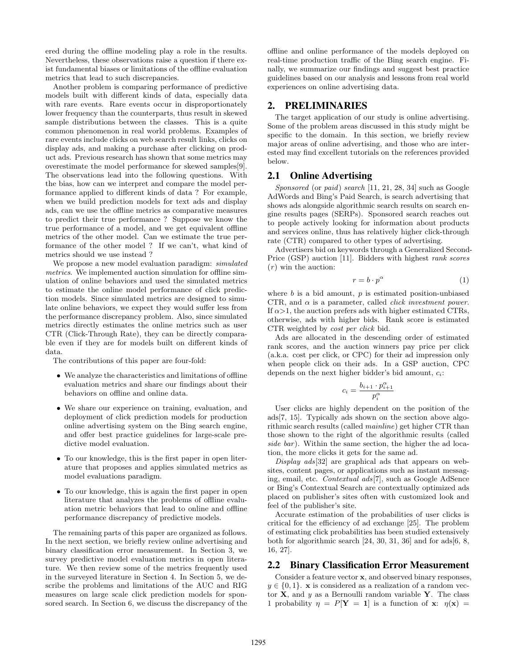ered during the offline modeling play a role in the results. Nevertheless, these observations raise a question if there exist fundamental biases or limitations of the offline evaluation metrics that lead to such discrepancies.

Another problem is comparing performance of predictive models built with different kinds of data, especially data with rare events. Rare events occur in disproportionately lower frequency than the counterparts, thus result in skewed sample distributions between the classes. This is a quite common phenomenon in real world problems. Examples of rare events include clicks on web search result links, clicks on display ads, and making a purchase after clicking on product ads. Previous research has shown that some metrics may overestimate the model performance for skewed samples[9]. The observations lead into the following questions. With the bias, how can we interpret and compare the model performance applied to different kinds of data ? For example, when we build prediction models for text ads and display ads, can we use the offline metrics as comparative measures to predict their true performance ? Suppose we know the true performance of a model, and we get equivalent offline metrics of the other model. Can we estimate the true performance of the other model ? If we can't, what kind of metrics should we use instead ?

We propose a new model evaluation paradigm: *simulated* metrics. We implemented auction simulation for offline simulation of online behaviors and used the simulated metrics to estimate the online model performance of click prediction models. Since simulated metrics are designed to simulate online behaviors, we expect they would suffer less from the performance discrepancy problem. Also, since simulated metrics directly estimates the online metrics such as user CTR (Click-Through Rate), they can be directly comparable even if they are for models built on different kinds of data.

The contributions of this paper are four-fold:

- We analyze the characteristics and limitations of offline evaluation metrics and share our findings about their behaviors on offline and online data.
- We share our experience on training, evaluation, and deployment of click prediction models for production online advertising system on the Bing search engine, and offer best practice guidelines for large-scale predictive model evaluation.
- To our knowledge, this is the first paper in open literature that proposes and applies simulated metrics as model evaluations paradigm.
- To our knowledge, this is again the first paper in open literature that analyzes the problems of offline evaluation metric behaviors that lead to online and offline performance discrepancy of predictive models.

The remaining parts of this paper are organized as follows. In the next section, we briefly review online advertising and binary classification error measurement. In Section 3, we survey predictive model evaluation metrics in open literature. We then review some of the metrics frequently used in the surveyed literature in Section 4. In Section 5, we describe the problems and limitations of the AUC and RIG measures on large scale click prediction models for sponsored search. In Section 6, we discuss the discrepancy of the offline and online performance of the models deployed on real-time production traffic of the Bing search engine. Finally, we summarize our findings and suggest best practice guidelines based on our analysis and lessons from real world experiences on online advertising data.

#### 2. PRELIMINARIES

The target application of our study is online advertising. Some of the problem areas discussed in this study might be specific to the domain. In this section, we briefly review major areas of online advertising, and those who are interested may find excellent tutorials on the references provided below.

#### 2.1 Online Advertising

Sponsored (or paid) search [11, 21, 28, 34] such as Google AdWords and Bing's Paid Search, is search advertising that shows ads alongside algorithmic search results on search engine results pages (SERPs). Sponsored search reaches out to people actively looking for information about products and services online, thus has relatively higher click-through rate (CTR) compared to other types of advertising.

Advertisers bid on keywords through a Generalized Second-Price (GSP) auction [11]. Bidders with highest rank scores  $(r)$  win the auction:

$$
r = b \cdot p^{\alpha} \tag{1}
$$

where  $b$  is a bid amount,  $p$  is estimated position-unbiased CTR, and  $\alpha$  is a parameter, called *click investment power*. If  $\alpha$ >1, the auction prefers ads with higher estimated CTRs, otherwise, ads with higher bids. Rank score is estimated CTR weighted by cost per click bid.

Ads are allocated in the descending order of estimated rank scores, and the auction winners pay price per click (a.k.a. cost per click, or CPC) for their ad impression only when people click on their ads. In a GSP auction, CPC depends on the next higher bidder's bid amount,  $c_i$ :

$$
c_i = \frac{b_{i+1} \cdot p_{i+1}^{\alpha}}{p_i^{\alpha}}
$$

User clicks are highly dependent on the position of the ads[7, 15]. Typically ads shown on the section above algorithmic search results (called mainline) get higher CTR than those shown to the right of the algorithmic results (called side bar). Within the same section, the higher the ad location, the more clicks it gets for the same ad.

 $Display$   $ads[32]$  are graphical ads that appears on websites, content pages, or applications such as instant messaging, email, etc. Contextual ads[7], such as Google AdSence or Bing's Contextual Search are contextually optimized ads placed on publisher's sites often with customized look and feel of the publisher's site.

Accurate estimation of the probabilities of user clicks is critical for the efficiency of ad exchange [25]. The problem of estimating click probabilities has been studied extensively both for algorithmic search [24, 30, 31, 36] and for ads[6, 8, 16, 27].

#### 2.2 Binary Classification Error Measurement

Consider a feature vector x, and observed binary responses,  $y \in \{0, 1\}$ . x is considered as a realization of a random vector  $\dot{\mathbf{X}}$ , and y as a Bernoulli random variable Y. The class 1 probability  $\eta = P[Y = 1]$  is a function of x:  $\eta(x) =$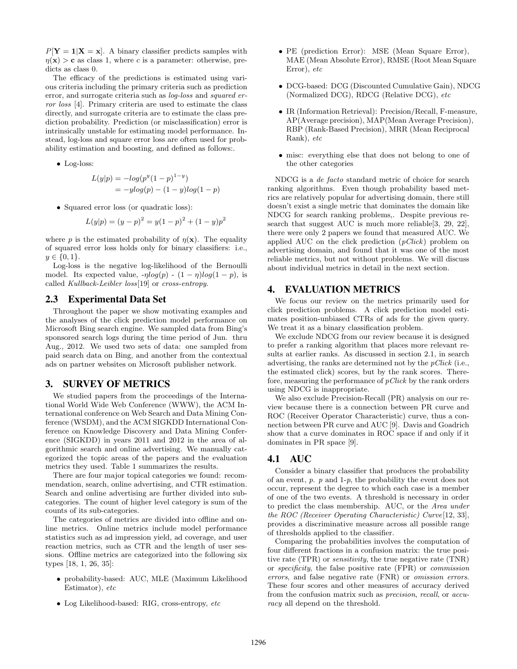$P[Y = 1|X = x]$ . A binary classifier predicts samples with  $\eta(\mathbf{x}) > c$  as class 1, where c is a parameter: otherwise, predicts as class 0.

The efficacy of the predictions is estimated using various criteria including the primary criteria such as prediction error, and surrogate criteria such as log-loss and squared error loss [4]. Primary criteria are used to estimate the class directly, and surrogate criteria are to estimate the class prediction probability. Prediction (or misclassification) error is intrinsically unstable for estimating model performance. Instead, log-loss and square error loss are often used for probability estimation and boosting, and defined as follows:.

• Log-loss:

$$
L(y|p) = -log(p^{y}(1-p)^{1-y})
$$
  
=  $-ylog(p) - (1-y)log(1-p)$ 

• Squared error loss (or quadratic loss):

$$
L(y|p) = (y - p)^{2} = y(1 - p)^{2} + (1 - y)p^{2}
$$

where p is the estimated probability of  $\eta(\mathbf{x})$ . The equality of squared error loss holds only for binary classifiers: i.e.,  $y \in \{0, 1\}.$ 

Log-loss is the negative log-likelihood of the Bernoulli model. Its expected value,  $-\eta \log(p) - (1 - \eta) \log(1 - p)$ , is called Kullback-Leibler loss[19] or cross-entropy.

#### 2.3 Experimental Data Set

Throughout the paper we show motivating examples and the analyses of the click prediction model performance on Microsoft Bing search engine. We sampled data from Bing's sponsored search logs during the time period of Jun. thru Aug., 2012. We used two sets of data: one sampled from paid search data on Bing, and another from the contextual ads on partner websites on Microsoft publisher network.

## 3. SURVEY OF METRICS

We studied papers from the proceedings of the International World Wide Web Conference (WWW), the ACM International conference on Web Search and Data Mining Conference (WSDM), and the ACM SIGKDD International Conference on Knowledge Discovery and Data Mining Conference (SIGKDD) in years 2011 and 2012 in the area of algorithmic search and online advertising. We manually categorized the topic areas of the papers and the evaluation metrics they used. Table 1 summarizes the results.

There are four major topical categories we found: recommendation, search, online advertising, and CTR estimation. Search and online advertising are further divided into subcategories. The count of higher level category is sum of the counts of its sub-categories.

The categories of metrics are divided into offline and online metrics. Online metrics include model performance statistics such as ad impression yield, ad coverage, and user reaction metrics, such as CTR and the length of user sessions. Offline metrics are categorized into the following six types [18, 1, 26, 35]:

- probability-based: AUC, MLE (Maximum Likelihood Estimator), etc.
- Log Likelihood-based: RIG, cross-entropy, etc
- PE (prediction Error): MSE (Mean Square Error), MAE (Mean Absolute Error), RMSE (Root Mean Square Error), etc
- DCG-based: DCG (Discounted Cumulative Gain), NDCG (Normalized DCG), RDCG (Relative DCG), etc
- IR (Information Retrieval): Precision/Recall, F-measure, AP(Average precision), MAP(Mean Average Precision), RBP (Rank-Based Precision), MRR (Mean Reciprocal Rank), etc
- misc: everything else that does not belong to one of the other categories

NDCG is a de facto standard metric of choice for search ranking algorithms. Even though probability based metrics are relatively popular for advertising domain, there still doesn't exist a single metric that dominates the domain like NDCG for search ranking problems,. Despite previous research that suggest AUC is much more reliable[3, 29, 22], there were only 2 papers we found that measured AUC. We applied AUC on the click prediction  $(pClick)$  problem on advertising domain, and found that it was one of the most reliable metrics, but not without problems. We will discuss about individual metrics in detail in the next section.

#### 4. EVALUATION METRICS

We focus our review on the metrics primarily used for click prediction problems. A click prediction model estimates position-unbiased CTRs of ads for the given query. We treat it as a binary classification problem.

We exclude NDCG from our review because it is designed to prefer a ranking algorithm that places more relevant results at earlier ranks. As discussed in section 2.1, in search advertising, the ranks are determined not by the  $pClick$  (i.e., the estimated click) scores, but by the rank scores. Therefore, measuring the performance of  $pClick$  by the rank orders using NDCG is inappropriate.

We also exclude Precision-Recall (PR) analysis on our review because there is a connection between PR curve and ROC (Receiver Operator Characteristic) curve, thus a connection between PR curve and AUC [9]. Davis and Goadrich show that a curve dominates in ROC space if and only if it dominates in PR space [9].

# 4.1 AUC

Consider a binary classifier that produces the probability of an event,  $p$ .  $p$  and  $1-p$ , the probability the event does not occur, represent the degree to which each case is a member of one of the two events. A threshold is necessary in order to predict the class membership. AUC, or the Area under the ROC (Receiver Operating Characteristic) Curve[12, 33], provides a discriminative measure across all possible range of thresholds applied to the classifier.

Comparing the probabilities involves the computation of four different fractions in a confusion matrix: the true positive rate (TPR) or sensitivity, the true negative rate (TNR) or specificity, the false positive rate (FPR) or commission errors, and false negative rate (FNR) or omission errors. These four scores and other measures of accuracy derived from the confusion matrix such as precision, recall, or accuracy all depend on the threshold.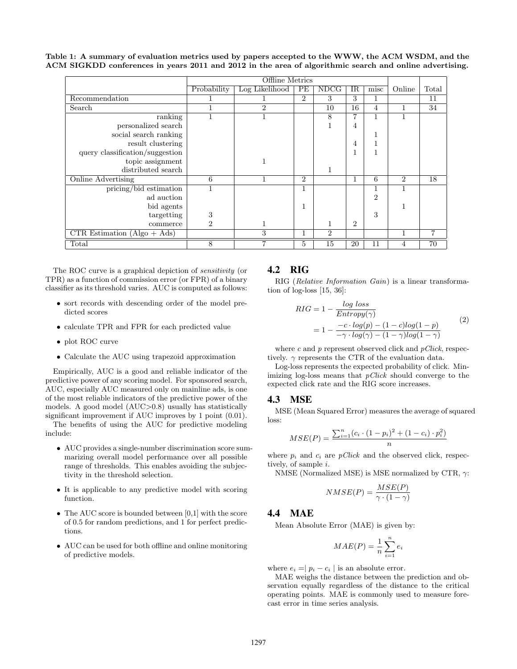Table 1: A summary of evaluation metrics used by papers accepted to the WWW, the ACM WSDM, and the ACM SIGKDD conferences in years 2011 and 2012 in the area of algorithmic search and online advertising.

|                                 | Offline Metrics |                |                |                |    |                |                |       |
|---------------------------------|-----------------|----------------|----------------|----------------|----|----------------|----------------|-------|
|                                 | Probability     | Log Likelihood | PЕ             | <b>NDCG</b>    | IR | misc           | Online         | Total |
| Recommendation                  |                 |                | $\overline{2}$ | 3              | 3  |                |                | 11    |
| Search                          | 1               | $\overline{2}$ |                | 10             | 16 | $\overline{4}$ | 1              | 34    |
| ranking                         | 1               |                |                | 8              | 7  |                | 1              |       |
| personalized search             |                 |                |                |                | 4  |                |                |       |
| social search ranking           |                 |                |                |                |    |                |                |       |
| result clustering               |                 |                |                |                | 4  |                |                |       |
| query classification/suggestion |                 |                |                |                |    |                |                |       |
| topic assignment                |                 |                |                |                |    |                |                |       |
| distributed search              |                 |                |                |                |    |                |                |       |
| Online Advertising              | 6               |                | $\overline{2}$ |                | 1  | 6              | $\overline{2}$ | 18    |
| pricing/bid estimation          | 1               |                | 1              |                |    |                | 1              |       |
| ad auction                      |                 |                |                |                |    | $\overline{2}$ |                |       |
| bid agents                      |                 |                | 1              |                |    |                | 1              |       |
| targetting                      | 3               |                |                |                |    | 3              |                |       |
| commerce                        | $\overline{2}$  |                |                | 1              | 2  |                |                |       |
| $CTR Estimation (Algo + Ads)$   |                 | 3              | <sup>1</sup>   | $\overline{2}$ |    |                |                |       |
| $_{\rm Total}$                  | 8               | 7              | $\overline{5}$ | 15             | 20 | 11             | 4              | 70    |

The ROC curve is a graphical depiction of sensitivity (or TPR) as a function of commission error (or FPR) of a binary classifier as its threshold varies. AUC is computed as follows:

- sort records with descending order of the model predicted scores
- calculate TPR and FPR for each predicted value
- plot ROC curve
- Calculate the AUC using trapezoid approximation

Empirically, AUC is a good and reliable indicator of the predictive power of any scoring model. For sponsored search, AUC, especially AUC measured only on mainline ads, is one of the most reliable indicators of the predictive power of the models. A good model (AUC>0.8) usually has statistically significant improvement if AUC improves by 1 point (0.01).

The benefits of using the AUC for predictive modeling include:

- AUC provides a single-number discrimination score summarizing overall model performance over all possible range of thresholds. This enables avoiding the subjectivity in the threshold selection.
- It is applicable to any predictive model with scoring function.
- The AUC score is bounded between [0,1] with the score of 0.5 for random predictions, and 1 for perfect predictions.
- AUC can be used for both offline and online monitoring of predictive models.

#### 4.2 RIG

RIG (Relative Information Gain) is a linear transformation of log-loss [15, 36]:

$$
RIG = 1 - \frac{\log \text{loss}}{\text{Entropy}(\gamma)}
$$
  
= 
$$
1 - \frac{-c \cdot \log(p) - (1 - c)\log(1 - p)}{-\gamma \cdot \log(\gamma) - (1 - \gamma)\log(1 - \gamma)}
$$
 (2)

where c and p represent observed click and  $p\text{ }Click$ , respectively.  $\gamma$  represents the CTR of the evaluation data.

Log-loss represents the expected probability of click. Minimizing log-loss means that  $pClick$  should converge to the expected click rate and the RIG score increases.

#### 4.3 MSE

MSE (Mean Squared Error) measures the average of squared loss:

$$
MSE(P) = \frac{\sum_{i=1}^{n} (c_i \cdot (1 - p_i)^2 + (1 - c_i) \cdot p_i^2)}{n}
$$

where  $p_i$  and  $c_i$  are  $pClick$  and the observed click, respectively, of sample i.

NMSE (Normalized MSE) is MSE normalized by CTR,  $\gamma$ :

$$
NMSE(P) = \frac{MSE(P)}{\gamma \cdot (1 - \gamma)}
$$

#### 4.4 MAE

Mean Absolute Error (MAE) is given by:

$$
MAE(P) = \frac{1}{n} \sum_{i=1}^{n} e_i
$$

where  $e_i = |p_i - c_i|$  is an absolute error.

MAE weighs the distance between the prediction and observation equally regardless of the distance to the critical operating points. MAE is commonly used to measure forecast error in time series analysis.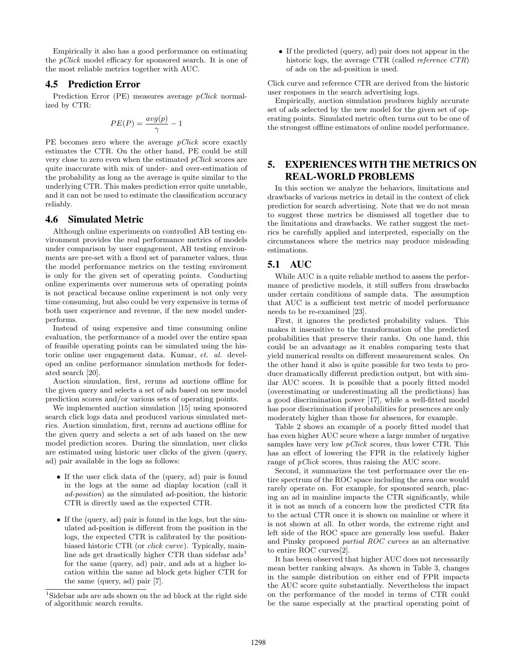Empirically it also has a good performance on estimating the pClick model efficacy for sponsored search. It is one of the most reliable metrics together with AUC.

# 4.5 Prediction Error

Prediction Error (PE) measures average *pClick* normalized by CTR:

$$
PE(P)=\frac{avg(p)}{\gamma}-1
$$

PE becomes zero where the average  $pClick$  score exactly estimates the CTR. On the other hand, PE could be still very close to zero even when the estimated  $pClick$  scores are quite inaccurate with mix of under- and over-estimation of the probability as long as the average is quite similar to the underlying CTR. This makes prediction error quite unstable, and it can not be used to estimate the classification accuracy reliably.

#### 4.6 Simulated Metric

Although online experiments on controlled AB testing environment provides the real performance metrics of models under comparison by user engagement, AB testing environments are pre-set with a fixed set of parameter values, thus the model performance metrics on the testing enviroment is only for the given set of operating points. Conducting online experiments over numerous sets of operating points is not practical because online experiment is not only very time consuming, but also could be very expensive in terms of both user experience and revenue, if the new model underperforms.

Instead of using expensive and time consuming online evaluation, the performance of a model over the entire span of feasible operating points can be simulated using the historic online user engagement data. Kumar, et. al. developed an online performance simulation methods for federated search [20].

Auction simulation, first, reruns ad auctions offline for the given query and selects a set of ads based on new model prediction scores and/or various sets of operating points.

We implemented auction simulation [15] using sponsored search click logs data and produced various simulated metrics. Auction simulation, first, reruns ad auctions offline for the given query and selects a set of ads based on the new model prediction scores. During the simulation, user clicks are estimated using historic user clicks of the given (query, ad) pair available in the logs as follows:

- If the user click data of the (query, ad) pair is found in the logs at the same ad diaplay location (call it ad-position) as the simulated ad-position, the historic CTR is directly used as the expected CTR.
- If the (query, ad) pair is found in the logs, but the simulated ad-position is different from the position in the logs, the expected CTR is calibrated by the positionbiased historic CTR (or click curve). Typically, mainline ads get drastically higher CTR than sidebar  $\text{ads}^1$ for the same (query, ad) pair, and ads at a higher location within the same ad block gets higher CTR for the same (query, ad) pair [7].

• If the predicted (query, ad) pair does not appear in the historic logs, the average CTR (called reference CTR) of ads on the ad-position is used.

Click curve and reference CTR are derived from the historic user responses in the search advertising logs.

Empirically, auction simulation produces highly accurate set of ads selected by the new model for the given set of operating points. Simulated metric often turns out to be one of the strongest offline estimators of online model performance.

# 5. EXPERIENCES WITH THE METRICS ON REAL-WORLD PROBLEMS

In this section we analyze the behaviors, limitations and drawbacks of various metrics in detail in the context of click prediction for search advertising. Note that we do not mean to suggest these metrics be dismissed all together due to the limitations and drawbacks. We rather suggest the metrics be carefully applied and interpreted, especially on the circumstances where the metrics may produce misleading estimations.

# 5.1 AUC

While AUC is a quite reliable method to assess the performance of predictive models, it still suffers from drawbacks under certain conditions of sample data. The assumption that AUC is a sufficient test metric of model performance needs to be re-examined [23].

First, it ignores the predicted probability values. This makes it insensitive to the transformation of the predicted probabilities that preserve their ranks. On one hand, this could be an advantage as it enables comparing tests that yield numerical results on different measurement scales. On the other hand it also is quite possible for two tests to produce dramatically different prediction output, but with similar AUC scores. It is possible that a poorly fitted model (overestimating or underestimating all the predictions) has a good discrimination power [17], while a well-fitted model has poor discrimination if probabilities for presences are only moderately higher than those for absences, for example.

Table 2 shows an example of a poorly fitted model that has even higher AUC score where a large number of negative samples have very low  $pClick$  scores, thus lower CTR. This has an effect of lowering the FPR in the relatively higher range of *pClick* scores, thus raising the AUC score.

Second, it summarizes the test performance over the entire spectrum of the ROC space including the area one would rarely operate on. For example, for sponsored search, placing an ad in mainline impacts the CTR significantly, while it is not as much of a concern how the predicted CTR fits to the actual CTR once it is shown on mainline or where it is not shown at all. In other words, the extreme right and left side of the ROC space are generally less useful. Baker and Pinsky proposed partial ROC curves as an alternative to entire ROC curves[2].

It has been observed that higher AUC does not necessarily mean better ranking always. As shown in Table 3, changes in the sample distribution on either end of FPR impacts the AUC score quite substantially. Nevertheless the impact on the performance of the model in terms of CTR could be the same especially at the practical operating point of

<sup>&</sup>lt;sup>1</sup>Sidebar ads are ads shown on the ad block at the right side of algorithmic search results.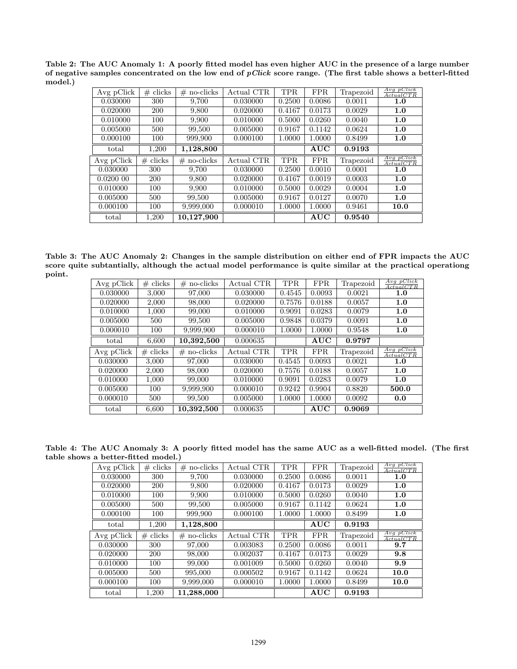Table 2: The AUC Anomaly 1: A poorly fitted model has even higher AUC in the presence of a large number of negative samples concentrated on the low end of  $pClick$  score range. (The first table shows a betterl-fitted model.)

| Avg pClick | $\#$ clicks | $#$ no-clicks  | Actual CTR | TPR.   | <b>FPR</b> | Trapezoid | $Avg$ pClick<br>ActualCTR   |
|------------|-------------|----------------|------------|--------|------------|-----------|-----------------------------|
| 0.030000   | 300         | 9.700          | 0.030000   | 0.2500 | 0.0086     | 0.0011    | 1.0                         |
| 0.020000   | 200         | 9,800          | 0.020000   | 0.4167 | 0.0173     | 0.0029    | 1.0                         |
| 0.010000   | 100         | 9,900          | 0.010000   | 0.5000 | 0.0260     | 0.0040    | 1.0                         |
| 0.005000   | 500         | 99,500         | 0.005000   | 0.9167 | 0.1142     | 0.0624    | 1.0                         |
| 0.000100   | 100         | 999,900        | 0.000100   | 1.0000 | 1.0000     | 0.8499    | 1.0                         |
| total      | 1,200       | 1,128,800      |            |        | AUC        | 0.9193    |                             |
|            |             |                |            |        |            |           |                             |
| Avg pClick | clicks<br># | no-clicks<br># | Actual CTR | TPR.   | FPR.       | Trapezoid | $Avg$ $pClick$<br>ActualCTR |
| 0.030000   | 300         | 9,700          | 0.030000   | 0.2500 | 0.0010     | 0.0001    | 1.0                         |
| 0.020000   | 200         | 9,800          | 0.020000   | 0.4167 | 0.0019     | 0.0003    | 1.0                         |
| 0.010000   | 100         | 9,900          | 0.010000   | 0.5000 | 0.0029     | 0.0004    | 1.0                         |
| 0.005000   | 500         | 99,500         | 0.005000   | 0.9167 | 0.0127     | 0.0070    | 1.0                         |
| 0.000100   | 100         | 9,999,000      | 0.000010   | 1.0000 | 1.0000     | 0.9461    | 10.0                        |

Table 3: The AUC Anomaly 2: Changes in the sample distribution on either end of FPR impacts the AUC score quite subtantially, although the actual model performance is quite similar at the practical operationg point.

| Avg pClick | $#$ clicks  | $#$ no-clicks | Actual CTR | <b>TPR</b> | <b>FPR</b> | Trapezoid | $Avg$ $pClick$<br>ActualCTR  |
|------------|-------------|---------------|------------|------------|------------|-----------|------------------------------|
| 0.030000   | 3.000       | 97,000        | 0.030000   | 0.4545     | 0.0093     | 0.0021    | 1.0                          |
| 0.020000   | 2.000       | 98,000        | 0.020000   | 0.7576     | 0.0188     | 0.0057    | 1.0                          |
| 0.010000   | 1,000       | 99,000        | 0.010000   | 0.9091     | 0.0283     | 0.0079    | 1.0                          |
| 0.005000   | 500         | 99,500        | 0.005000   | 0.9848     | 0.0379     | 0.0091    | 1.0                          |
| 0.000010   | 100         | 9,999,900     | 0.000010   | 1.0000     | 1.0000     | 0.9548    | 1.0                          |
| total      | 6,600       | 10,392,500    | 0.000635   |            | AUC        | 0.9797    |                              |
|            |             |               |            |            |            |           |                              |
| Avg pClick | clicks<br># | $#$ no-clicks | Actual CTR | <b>TPR</b> | <b>FPR</b> | Trapezoid | $Avg$ p $Click$<br>ActualCTR |
| 0.030000   | 3,000       | 97,000        | 0.030000   | 0.4545     | 0.0093     | 0.0021    | 1.0                          |
| 0.020000   | 2,000       | 98,000        | 0.020000   | 0.7576     | 0.0188     | 0.0057    | 1.0                          |
| 0.010000   | 1,000       | 99,000        | 0.010000   | 0.9091     | 0.0283     | 0.0079    | 1.0                          |
| 0.005000   | 100         | 9,999,900     | 0.000010   | 0.9242     | 0.9904     | 0.8820    | 500.0                        |
| 0.000010   | 500         | 99,500        | 0.005000   | 1.0000     | 1.0000     | 0.0092    | 0.0                          |

Table 4: The AUC Anomaly 3: A poorly fitted model has the same AUC as a well-fitted model. (The first table shows a better-fitted model.)

| Avg pClick | $#$ clicks  | no-clicks<br># | Actual CTR | <b>TPR</b> | <b>FPR</b> | Trapezoid | $Avg$ pClick<br>ActualCTR |
|------------|-------------|----------------|------------|------------|------------|-----------|---------------------------|
| 0.030000   | 300         | 9,700          | 0.030000   | 0.2500     | 0.0086     | 0.0011    | 1.0                       |
| 0.020000   | 200         | 9,800          | 0.020000   | 0.4167     | 0.0173     | 0.0029    | 1.0                       |
| 0.010000   | 100         | 9,900          | 0.010000   | 0.5000     | 0.0260     | 0.0040    | 1.0                       |
| 0.005000   | 500         | 99,500         | 0.005000   | 0.9167     | 0.1142     | 0.0624    | 1.0                       |
| 0.000100   | 100         | 999,900        | 0.000100   | 1.0000     | 1.0000     | 0.8499    | 1.0                       |
| total      | 1.200       | 1,128,800      |            |            | AUC        | 0.9193    |                           |
|            |             |                |            |            |            |           |                           |
| Avg pClick | clicks<br># | no-clicks<br># | Actual CTR | <b>TPR</b> | <b>FPR</b> | Trapezoid | $Avg$ pClick<br>ActualCTR |
| 0.030000   | 300         | 97,000         | 0.003083   | 0.2500     | 0.0086     | 0.0011    | 9.7                       |
| 0.020000   | <b>200</b>  | 98,000         | 0.002037   | 0.4167     | 0.0173     | 0.0029    | 9.8                       |
| 0.010000   | 100         | 99,000         | 0.001009   | 0.5000     | 0.0260     | 0.0040    | 9.9                       |
| 0.005000   | 500         | 995,000        | 0.000502   | 0.9167     | 0.1142     | 0.0624    | 10.0                      |
| 0.000100   | 100         | 9,999,000      | 0.000010   | 1.0000     | 1.0000     | 0.8499    | 10.0                      |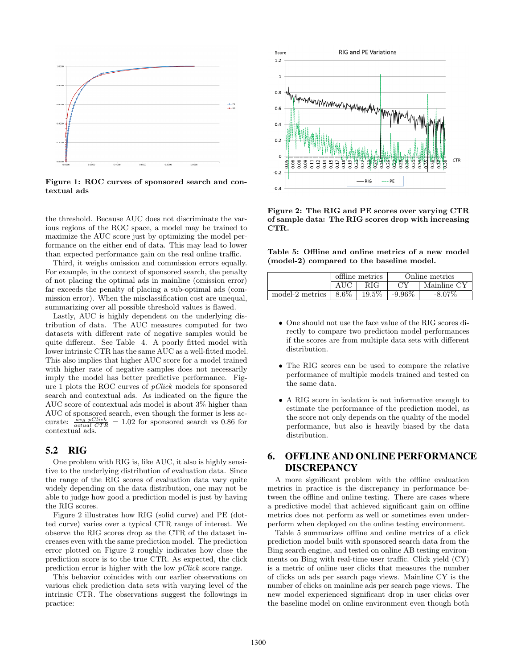

Figure 1: ROC curves of sponsored search and contextual ads

the threshold. Because AUC does not discriminate the various regions of the ROC space, a model may be trained to maximize the AUC score just by optimizing the model performance on the either end of data. This may lead to lower than expected performance gain on the real online traffic.

Third, it weighs omission and commission errors equally. For example, in the context of sponsored search, the penalty of not placing the optimal ads in mainline (omission error) far exceeds the penalty of placing a sub-optimal ads (commission error). When the misclassification cost are unequal, summarizing over all possible threshold values is flawed.

Lastly, AUC is highly dependent on the underlying distribution of data. The AUC measures computed for two datasets with different rate of negative samples would be quite different. See Table 4. A poorly fitted model with lower intrinsic CTR has the same AUC as a well-fitted model. This also implies that higher AUC score for a model trained with higher rate of negative samples does not necessarily imply the model has better predictive performance. Figure 1 plots the ROC curves of pClick models for sponsored search and contextual ads. As indicated on the figure the AUC score of contextual ads model is about 3% higher than AUC of sponsored search, even though the former is less accurate:  $\frac{avg \ pClick}{actual \ CTR} = 1.02$  for sponsored search vs 0.86 for contextual ads.

# 5.2 RIG

One problem with RIG is, like AUC, it also is highly sensitive to the underlying distribution of evaluation data. Since the range of the RIG scores of evaluation data vary quite widely depending on the data distribution, one may not be able to judge how good a prediction model is just by having the RIG scores.

Figure 2 illustrates how RIG (solid curve) and PE (dotted curve) varies over a typical CTR range of interest. We observe the RIG scores drop as the CTR of the dataset increases even with the same prediction model. The prediction error plotted on Figure 2 roughly indicates how close the prediction score is to the true CTR. As expected, the click prediction error is higher with the low pClick score range.

This behavior coincides with our earlier observations on various click prediction data sets with varying level of the intrinsic CTR. The observations suggest the followings in practice:



Figure 2: The RIG and PE scores over varying CTR of sample data: The RIG scores drop with increasing CTR.

Table 5: Offline and online metrics of a new model (model-2) compared to the baseline model.

|                 |         | offline metrics | Online metrics |             |  |
|-----------------|---------|-----------------|----------------|-------------|--|
|                 |         | RIG             |                | Mainline CY |  |
| model-2 metrics | $8.6\%$ | $19.5\%$        | $-9.96\%$      | $-8.07\%$   |  |

- One should not use the face value of the RIG scores directly to compare two prediction model performances if the scores are from multiple data sets with different distribution.
- The RIG scores can be used to compare the relative performance of multiple models trained and tested on the same data.
- A RIG score in isolation is not informative enough to estimate the performance of the prediction model, as the score not only depends on the quality of the model performance, but also is heavily biased by the data distribution.

# 6. OFFLINE AND ONLINE PERFORMANCE DISCREPANCY

A more significant problem with the offline evaluation metrics in practice is the discrepancy in performance between the offline and online testing. There are cases where a predictive model that achieved significant gain on offline metrics does not perform as well or sometimes even underperform when deployed on the online testing environment.

Table 5 summarizes offline and online metrics of a click prediction model built with sponsored search data from the Bing search engine, and tested on online AB testing environments on Bing with real-time user traffic. Click yield (CY) is a metric of online user clicks that measures the number of clicks on ads per search page views. Mainline CY is the number of clicks on mainline ads per search page views. The new model experienced significant drop in user clicks over the baseline model on online environment even though both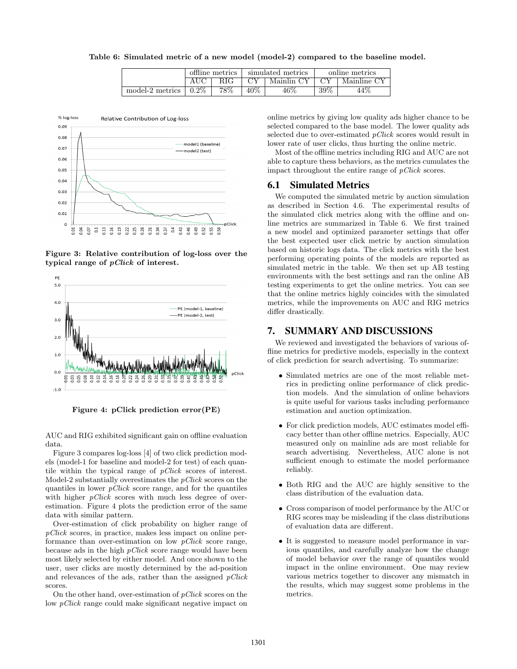Table 6: Simulated metric of a new model (model-2) compared to the baseline model.

|                 | offline metrics<br>RIG. |     |                  | simulated metrics | online metrics |             |  |
|-----------------|-------------------------|-----|------------------|-------------------|----------------|-------------|--|
|                 |                         |     | Mainlin CY<br>СY |                   |                | Mainline CY |  |
| model-2 metrics | $0.2\%$                 | 78% | $40\%$           | $46\%$            | 39\%           | 44%         |  |



Figure 3: Relative contribution of log-loss over the typical range of pClick of interest.





AUC and RIG exhibited significant gain on offline evaluation data.

Figure 3 compares log-loss [4] of two click prediction models (model-1 for baseline and model-2 for test) of each quantile within the typical range of pClick scores of interest. Model-2 substantially overestimates the  $pClick$  scores on the quantiles in lower  $pClick$  score range, and for the quantiles with higher  $pClick$  scores with much less degree of overestimation. Figure 4 plots the prediction error of the same data with similar pattern.

Over-estimation of click probability on higher range of pClick scores, in practice, makes less impact on online performance than over-estimation on low  $pClick$  score range, because ads in the high pClick score range would have been most likely selected by either model. And once shown to the user, user clicks are mostly determined by the ad-position and relevances of the ads, rather than the assigned  $pClick$ scores.

On the other hand, over-estimation of  $p\text{Click scores on the}$ low pClick range could make significant negative impact on

online metrics by giving low quality ads higher chance to be selected compared to the base model. The lower quality ads selected due to over-estimated *pClick* scores would result in lower rate of user clicks, thus hurting the online metric.

Most of the offline metrics including RIG and AUC are not able to capture thess behaviors, as the metrics cumulates the impact throughout the entire range of pClick scores.

## 6.1 Simulated Metrics

We computed the simulated metric by auction simulation as described in Section 4.6. The experimental results of the simulated click metrics along with the offline and online metrics are summarized in Table 6. We first trained a new model and optimized parameter settings that offer the best expected user click metric by auction simulation based on historic logs data. The click metrics with the best performing operating points of the models are reported as simulated metric in the table. We then set up AB testing environments with the best settings and ran the online AB testing experiments to get the online metrics. You can see that the online metrics highly coincides with the simulated metrics, while the improvements on AUC and RIG metrics differ drastically.

# 7. SUMMARY AND DISCUSSIONS

We reviewed and investigated the behaviors of various offline metrics for predictive models, especially in the context of click prediction for search advertising. To summarize:

- Simulated metrics are one of the most reliable metrics in predicting online performance of click prediction models. And the simulation of online behaviors is quite useful for various tasks including performance estimation and auction optimization.
- For click prediction models, AUC estimates model efficacy better than other offline metrics. Especially, AUC measured only on mainline ads are most reliable for search advertising. Nevertheless, AUC alone is not sufficient enough to estimate the model performance reliably.
- Both RIG and the AUC are highly sensitive to the class distribution of the evaluation data.
- Cross comparison of model performance by the AUC or RIG scores may be misleading if the class distributions of evaluation data are different.
- It is suggested to measure model performance in various quantiles, and carefully analyze how the change of model behavior over the range of quantiles would impact in the online environment. One may review various metrics together to discover any mismatch in the results, which may suggest some problems in the metrics.